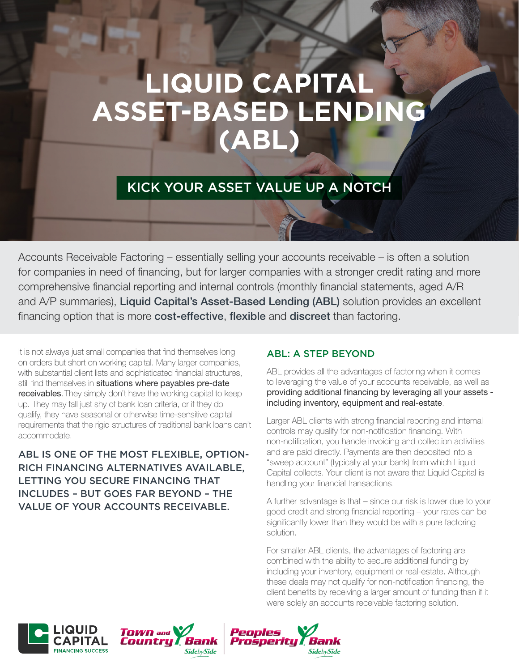# **LIQUID CAPITAL ASSET-BASED LENDING (ABL)**

## KICK YOUR ASSET VALUE UP A NOTCH

Accounts Receivable Factoring – essentially selling your accounts receivable – is often a solution for companies in need of financing, but for larger companies with a stronger credit rating and more comprehensive financial reporting and internal controls (monthly financial statements, aged A/R and A/P summaries), Liquid Capital's Asset-Based Lending (ABL) solution provides an excellent financing option that is more **cost-effective, flexible** and **discreet** than factoring.

It is not always just small companies that find themselves long on orders but short on working capital. Many larger companies, with substantial client lists and sophisticated financial structures, still find themselves in situations where payables pre-date receivables. They simply don't have the working capital to keep up. They may fall just shy of bank loan criteria, or if they do qualify, they have seasonal or otherwise time-sensitive capital requirements that the rigid structures of traditional bank loans can't accommodate.

ABL IS ONE OF THE MOST FLEXIBLE, OPTION-RICH FINANCING ALTERNATIVES AVAILABLE, LETTING YOU SECURE FINANCING THAT INCLUDES – BUT GOES FAR BEYOND – THE VALUE OF YOUR ACCOUNTS RECEIVABLE.

#### ABL: A STEP BEYOND

ABL provides all the advantages of factoring when it comes to leveraging the value of your accounts receivable, as well as providing additional financing by leveraging all your assets including inventory, equipment and real-estate.

Larger ABL clients with strong financial reporting and internal controls may qualify for non-notification financing. With non-notification, you handle invoicing and collection activities and are paid directly. Payments are then deposited into a "sweep account" (typically at your bank) from which Liquid Capital collects. Your client is not aware that Liquid Capital is handling your financial transactions.

A further advantage is that – since our risk is lower due to your good credit and strong financial reporting – your rates can be significantly lower than they would be with a pure factoring solution.

For smaller ABL clients, the advantages of factoring are combined with the ability to secure additional funding by including your inventory, equipment or real-estate. Although these deals may not qualify for non-notification financing, the client benefits by receiving a larger amount of funding than if it were solely an accounts receivable factoring solution.